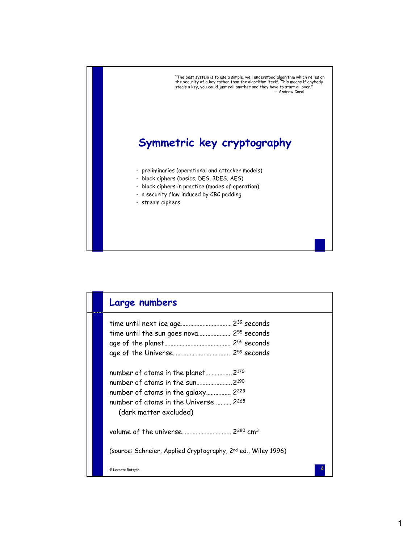

|  | Large numbers                                                                                                                                                                             |
|--|-------------------------------------------------------------------------------------------------------------------------------------------------------------------------------------------|
|  | time until the sun goes nova 255 seconds                                                                                                                                                  |
|  |                                                                                                                                                                                           |
|  | number of atoms in the planet 2 <sup>170</sup><br>number of atoms in the sun2190<br>number of atoms in the galaxy 2223<br>number of atoms in the Universe  2265<br>(dark matter excluded) |
|  |                                                                                                                                                                                           |
|  | (source: Schneier, Applied Cryptography, 2 <sup>nd</sup> ed., Wiley 1996)                                                                                                                 |
|  | © Levente Buttyán                                                                                                                                                                         |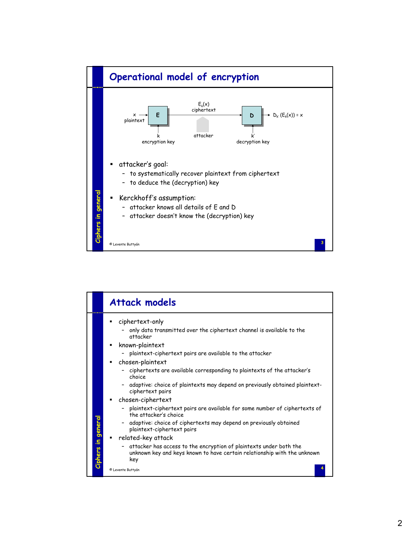

|                | <b>Attack models</b>                                                                                                                                                                                                                                                                                                                                                                                  |
|----------------|-------------------------------------------------------------------------------------------------------------------------------------------------------------------------------------------------------------------------------------------------------------------------------------------------------------------------------------------------------------------------------------------------------|
|                | ciphertext-only<br>only data transmitted over the ciphertext channel is available to the<br>attacker<br>known-plaintext<br>- plaintext-ciphertext pairs are available to the attacker<br>chosen-plaintext<br>- ciphertexts are available corresponding to plaintexts of the attacker's<br>choice<br>- adaptive: choice of plaintexts may depend on previously obtained plaintext-<br>ciphertext pairs |
| in general     | chosen-ciphertext<br>plaintext-ciphertext pairs are available for some number of ciphertexts of<br>the attacker's choice<br>adaptive: choice of ciphertexts may depend on previously obtained<br>plaintext-ciphertext pairs<br>related-key attack                                                                                                                                                     |
| <b>Ciphers</b> | attacker has access to the encryption of plaintexts under both the<br>unknown key and keys known to have certain relationship with the unknown<br>key<br>© Levente Buttyán                                                                                                                                                                                                                            |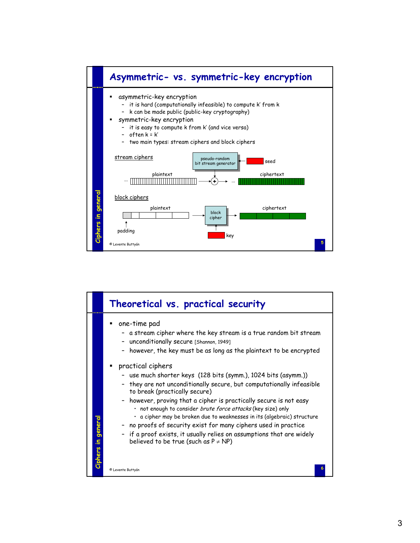

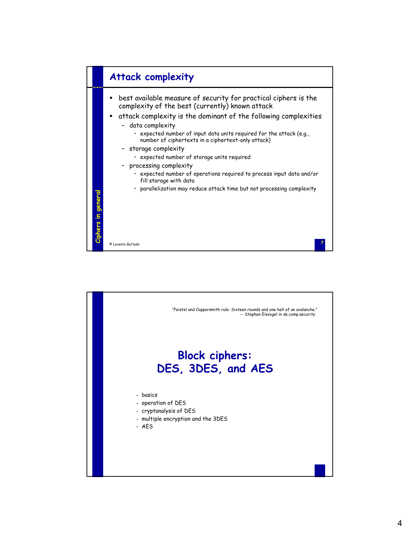

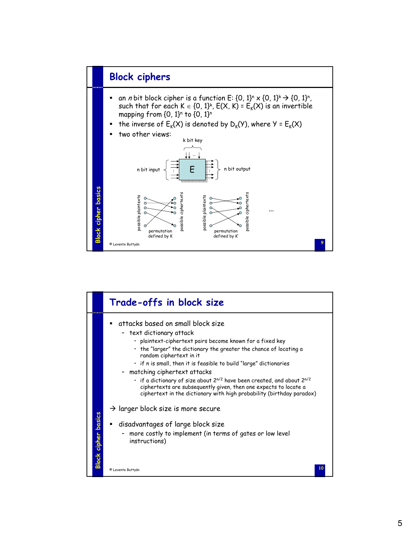

|                            | Trade-offs in block size                                                                                                                                                                                                                                                                                                                                                                                                                                                                                                                                                                            |
|----------------------------|-----------------------------------------------------------------------------------------------------------------------------------------------------------------------------------------------------------------------------------------------------------------------------------------------------------------------------------------------------------------------------------------------------------------------------------------------------------------------------------------------------------------------------------------------------------------------------------------------------|
|                            | attacks based on small block size<br>- text dictionary attack<br>· plaintext-ciphertext pairs become known for a fixed key<br>$\cdot$ the "larger" the dictionary the greater the chance of locating a<br>random ciphertext in it<br>$\cdot$ if n is small, then it is feasible to build "large" dictionaries<br>- matching ciphertext attacks<br>$\cdot$ if a dictionary of size about 2 <sup>n/2</sup> have been created, and about 2 <sup>n/2</sup><br>ciphertexts are subsequently given, then one expects to locate a<br>ciphertext in the dictionary with high probability (birthday paradox) |
| <b>Block cipher basics</b> | $\rightarrow$ larger block size is more secure<br>disadvantages of large block size<br>more costly to implement (in terms of gates or low level<br>instructions)                                                                                                                                                                                                                                                                                                                                                                                                                                    |
|                            | 10<br>© Levente Buttyán                                                                                                                                                                                                                                                                                                                                                                                                                                                                                                                                                                             |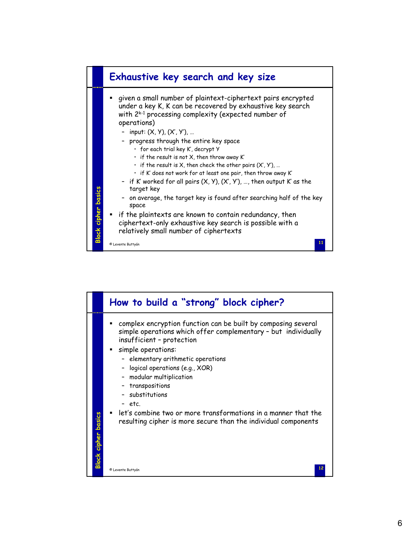

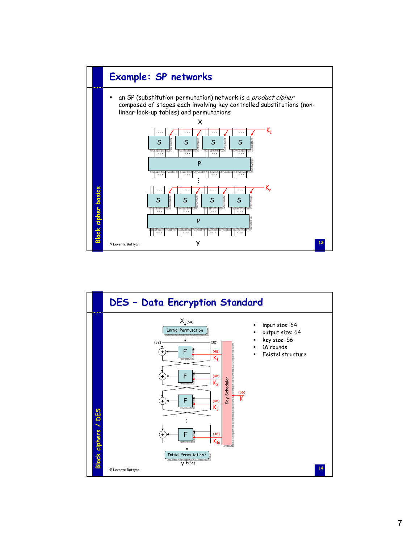

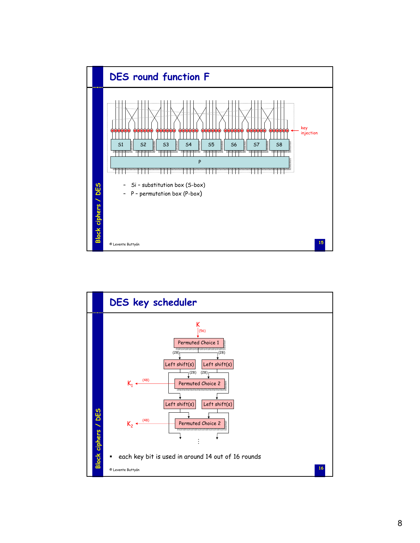

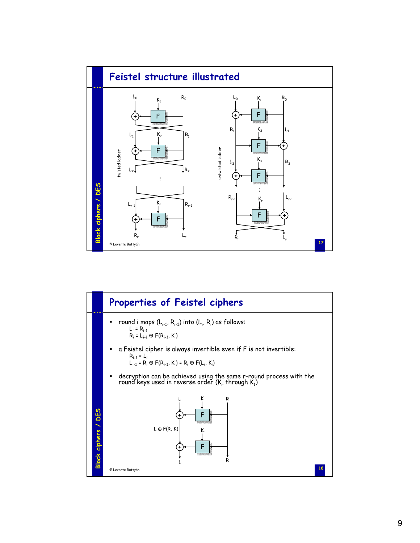

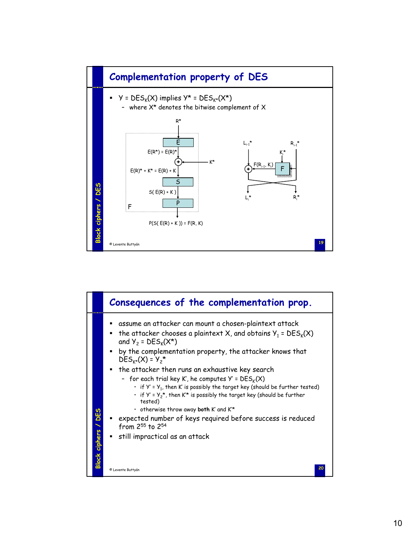

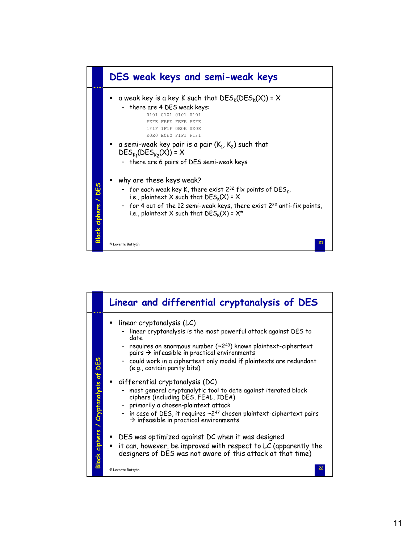

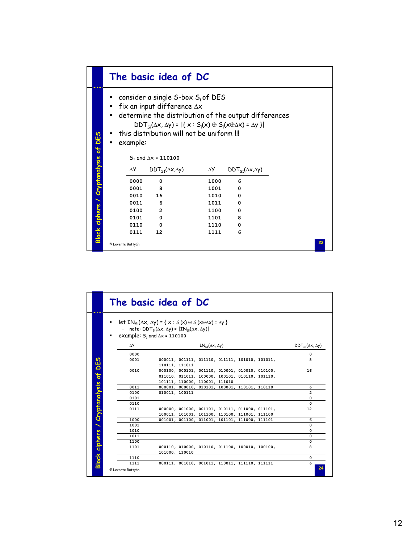|                                                         |                     |                                | The basic idea of DC                                                                                                                                                                                                                                                                                                                                       |                            |                                                 |    |
|---------------------------------------------------------|---------------------|--------------------------------|------------------------------------------------------------------------------------------------------------------------------------------------------------------------------------------------------------------------------------------------------------------------------------------------------------------------------------------------------------|----------------------------|-------------------------------------------------|----|
| DES<br><b>B</b><br><b>Block ciphers / Cryptanalysis</b> | ٠<br>$\blacksquare$ | example:<br>ΔУ<br>0000<br>0001 | consider a single S-box $S_i$ of DES<br>fix an input difference $\Delta x$<br>determine the distribution of the output differences<br>$DDT_{si}(\Delta x, \Delta y) =  \{x : S_i(x) \oplus S_i(x \oplus \Delta x) = \Delta y\} $<br>this distribution will not be uniform !!!<br>$S_1$ and $\Delta x = 110100$<br>$DDT_{51}(\Delta x, \Delta y)$<br>0<br>8 | $\Delta Y$<br>1000<br>1001 | $DDT_{51}(\Delta x, \Delta y)$<br>6<br>$\Omega$ |    |
|                                                         |                     | 0010                           | 16                                                                                                                                                                                                                                                                                                                                                         | 1010                       | 0                                               |    |
|                                                         |                     | 0011                           | 6                                                                                                                                                                                                                                                                                                                                                          | 1011                       | 0                                               |    |
|                                                         |                     | 0100                           | $\mathbf{2}$                                                                                                                                                                                                                                                                                                                                               | 1100                       | 0                                               |    |
|                                                         |                     | 0101                           | 0                                                                                                                                                                                                                                                                                                                                                          | 1101                       | 8                                               |    |
|                                                         |                     | 0110                           | 0                                                                                                                                                                                                                                                                                                                                                          | 1110                       | 0                                               |    |
|                                                         |                     | 0111                           | 12                                                                                                                                                                                                                                                                                                                                                         | 1111                       | 6                                               |    |
|                                                         |                     | © Levente Buttyán              |                                                                                                                                                                                                                                                                                                                                                            |                            |                                                 | 23 |

|                                      |                           | The basic idea of DC                                                                                                                                                                                                |                                |
|--------------------------------------|---------------------------|---------------------------------------------------------------------------------------------------------------------------------------------------------------------------------------------------------------------|--------------------------------|
|                                      |                           | let $IN_{\leq i}(\Delta x, \Delta y) = \{x : S_i(x) \oplus S_i(x \oplus \Delta x) = \Delta y\}$<br>- note: $DDT_{si}(\Delta x, \Delta y) =  IN_{si}(\Delta x, \Delta y) $<br>example: $S_1$ and $\Delta x = 110100$ |                                |
|                                      | $\Delta Y$                | $IN_{51}(\Delta x, \Delta y)$                                                                                                                                                                                       | $DDT_{51}(\Delta x, \Delta y)$ |
|                                      | 0000                      |                                                                                                                                                                                                                     | 0                              |
| DES                                  | 0001                      | 000011, 001111, 011110, 011111, 101010, 101011,<br>110111, 111011                                                                                                                                                   | 8                              |
| $\mathbf{B}$                         | 0010                      | 000100, 000101, 001110, 010001, 010010, 010100,<br>011010, 011011, 100000, 100101, 010110, 101110,<br>101111, 110000, 110001, 111010                                                                                | 16                             |
|                                      | 0011                      | 000001, 000010, 010101, 100001, 110101, 110110                                                                                                                                                                      | 6                              |
|                                      | 0100                      | 010011, 100111                                                                                                                                                                                                      | 2                              |
|                                      | 0101                      |                                                                                                                                                                                                                     | 0                              |
|                                      | 0110                      |                                                                                                                                                                                                                     | 0                              |
| <b>Block ciphers / Cryptanalysis</b> | 0111                      | 000000, 001000, 001101, 010111, 011000, 011101,<br>100011, 101001, 101100, 110100, 111001, 111100                                                                                                                   | 12                             |
|                                      | 1000                      | 001001, 001100, 011001, 101101, 111000, 111101                                                                                                                                                                      | 6                              |
|                                      | 1001                      |                                                                                                                                                                                                                     | 0                              |
|                                      | 1010                      |                                                                                                                                                                                                                     | 0                              |
|                                      | 1011                      |                                                                                                                                                                                                                     | 0                              |
|                                      | 1100                      |                                                                                                                                                                                                                     | 0                              |
|                                      | 1101                      | 000110, 010000, 010110, 011100, 100010, 100100,<br>101000, 110010                                                                                                                                                   | 8                              |
|                                      | 1110                      |                                                                                                                                                                                                                     | 0                              |
|                                      | 1111<br>© Levente Buttyán | 000111, 001010, 001011, 110011, 111110, 111111                                                                                                                                                                      | 6<br>24                        |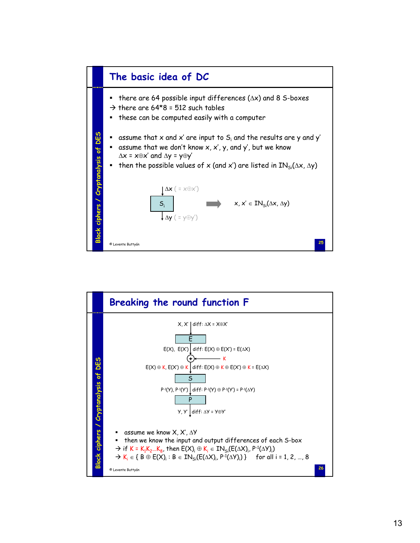

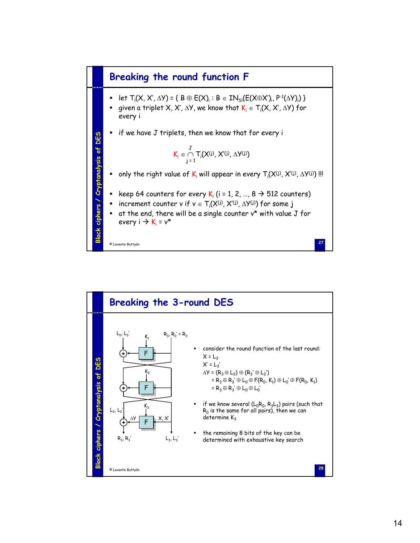

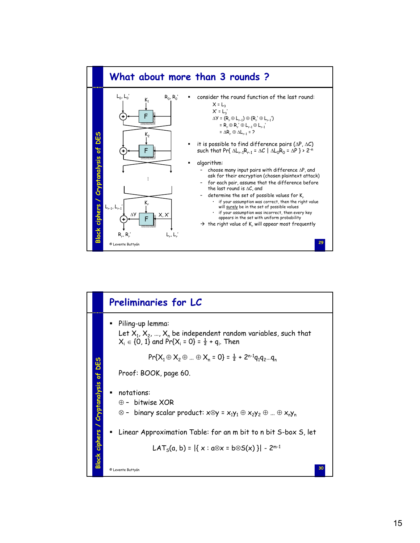

|                               | <b>Preliminaries for LC</b>                                                                                                                                                                               |
|-------------------------------|-----------------------------------------------------------------------------------------------------------------------------------------------------------------------------------------------------------|
|                               | Piling-up lemma:<br>Let $X_1, X_2, , X_n$ be independent random variables, such that<br>$X_i \in \{0, 1\}$ and Pr{ $X_i = 0$ } = $\frac{1}{2}$ + q <sub>i</sub> . Then                                    |
| <b>DES</b>                    | $Pr{X_1 \oplus X_2 \oplus  \oplus X_n = 0} = \frac{1}{2} + 2^{n-1}q_1q_2q_n$                                                                                                                              |
| t                             | Proof: BOOK, page 60.                                                                                                                                                                                     |
| Block ciphers / Cryptanalysis | • notations:<br>$\oplus$ - bitwise XOR<br>$\otimes$ - binary scalar product: $x \otimes y = x_1y_1 \oplus x_2y_2 \oplus  \oplus x_ny_n$<br>Linear Approximation Table: for an m bit to n bit S-box S, let |
|                               | LAT <sub>s</sub> (a, b) = $ \{x : a \otimes x = b \otimes S(x)\} $ - 2 <sup>m-1</sup>                                                                                                                     |
|                               | 30<br>© Levente Buttyán                                                                                                                                                                                   |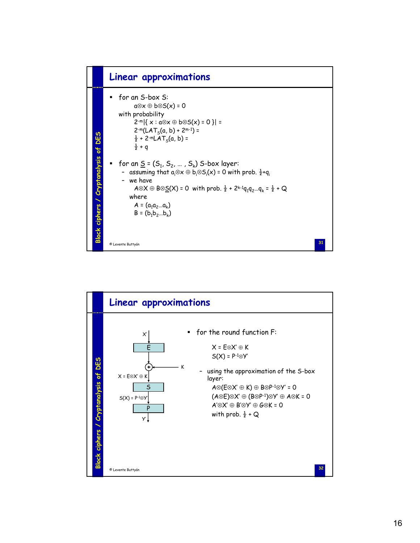



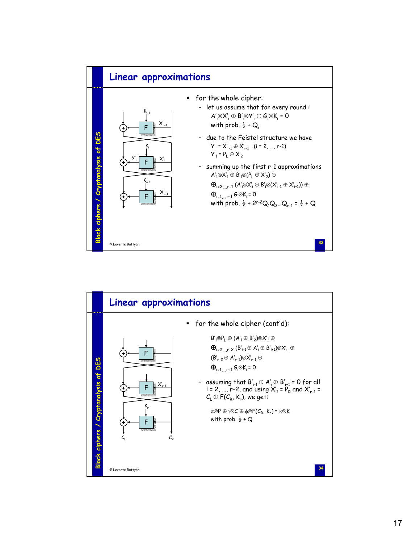

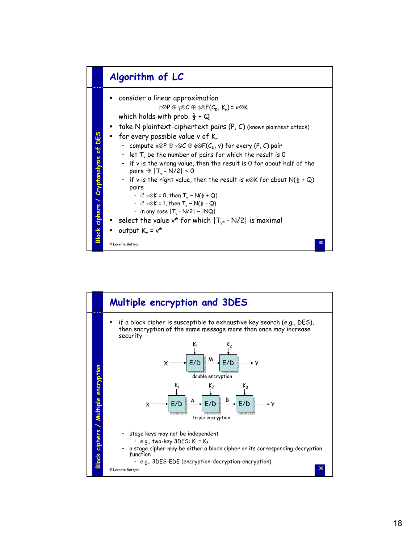

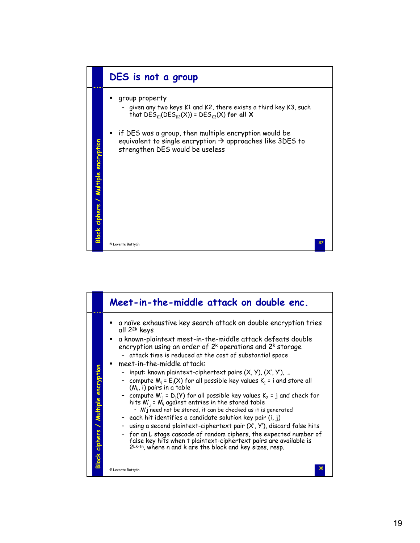

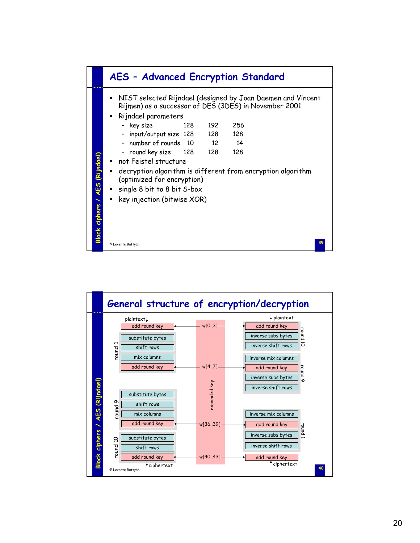

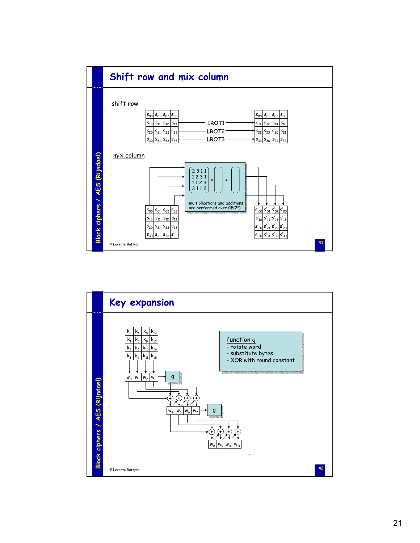

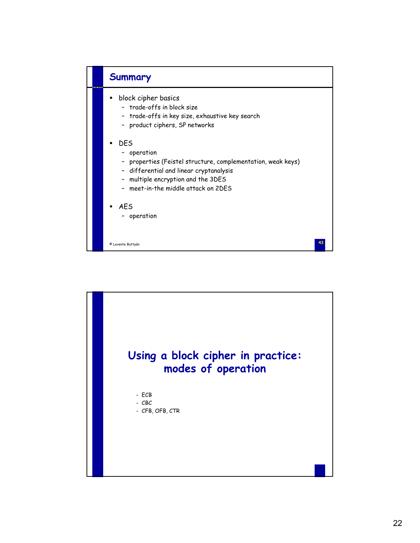

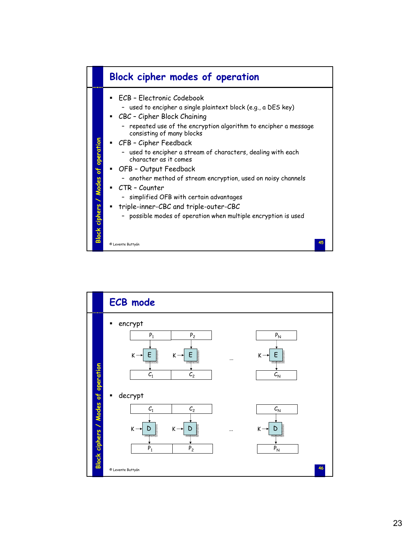

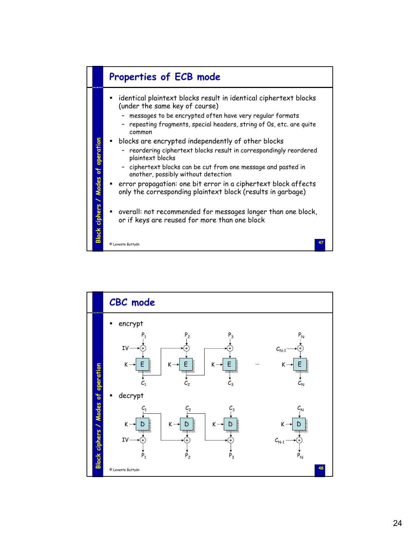

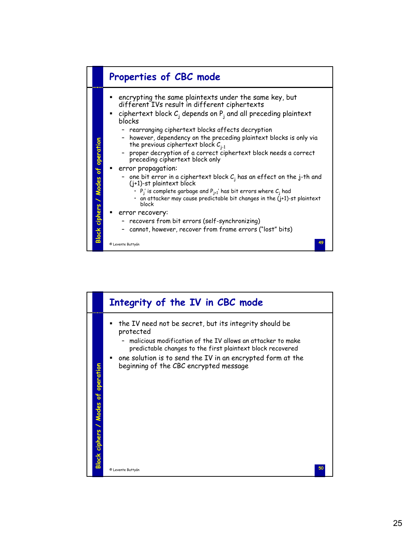

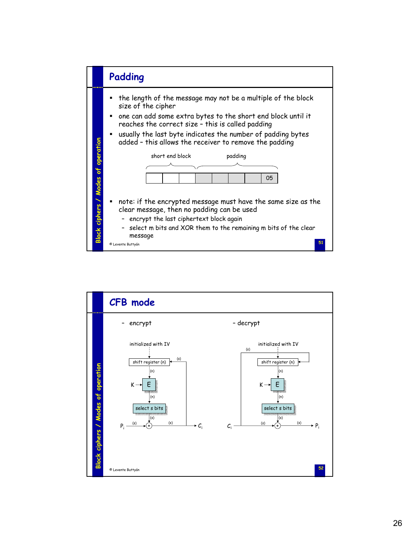

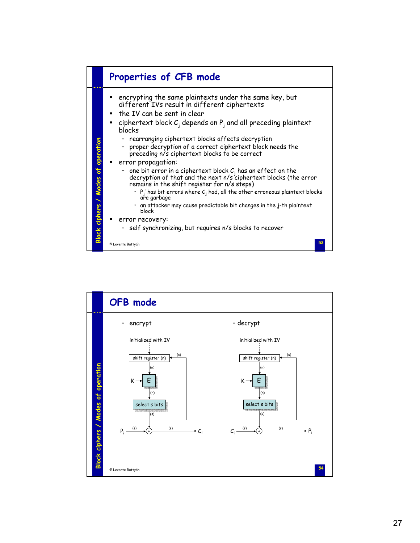

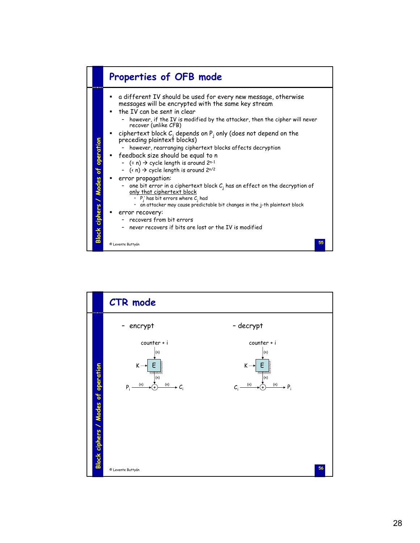

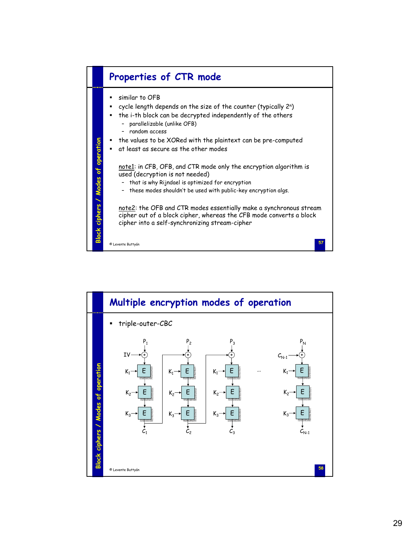

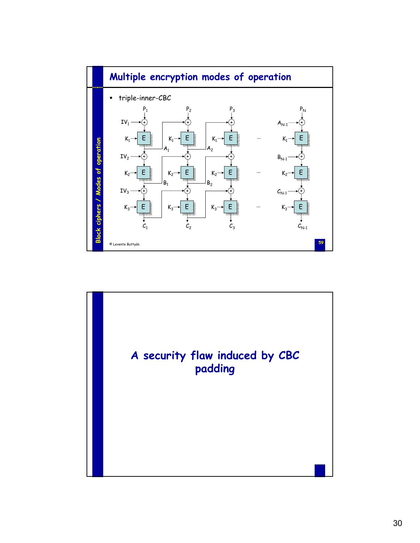

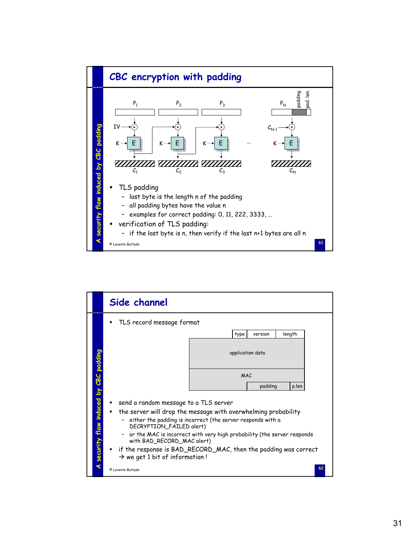

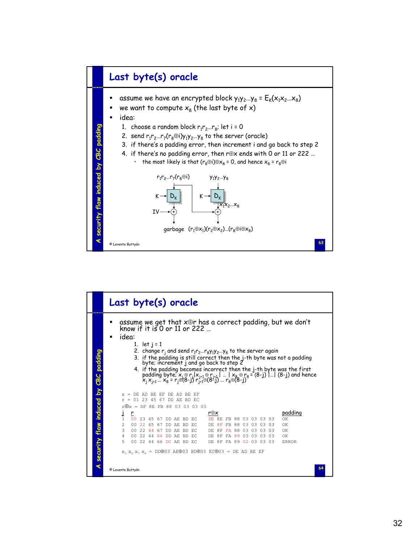

|                                        | Last byte(s) oracle                                                                                                                                                                                                                                                                                                                                                                                                                                                                                                                                                                     |
|----------------------------------------|-----------------------------------------------------------------------------------------------------------------------------------------------------------------------------------------------------------------------------------------------------------------------------------------------------------------------------------------------------------------------------------------------------------------------------------------------------------------------------------------------------------------------------------------------------------------------------------------|
|                                        | assume we get that x+r has a correct padding, but we don't<br>know if it is 0 or 11 or 222 $\ldots$<br>idea:<br>1. let $j = 1$<br>2. change $r_j$ and send $r_1r_2r_8y_1y_2y_8$ to the server again<br>3. if the padding is still correct then the j-th byte was not a padding<br>byte; increment j and go back to step 2<br>4. if the padding becomes incorrect then the j-th byte was the first padding byte; $x_j \oplus r_j   x_{j+1} \oplus r_{j+1}      x_8 \oplus r_8 = (8-j)      (8-j)$ and hence $x_j x_{j+1}  x_8 = r_j \oplus (8-j) r_{j+1} \oplus (8-j)  r_8 \oplus (8-j)$ |
|                                        | $=$ DE AD BE EF DE AD BE EF<br>x.<br>$r = 01234567DDAEBDEC$                                                                                                                                                                                                                                                                                                                                                                                                                                                                                                                             |
| A security flaw induced by CBC padding | $r \oplus x = DF 8E FB 88 03 03 03 03$<br>padding<br>r⊕x<br>J<br>r<br>1<br>00 <sup>1</sup><br>23 45 67 DD AE BD EC<br>DE 8E FB 88 03 03 03<br>O3.<br>OК<br>$2^{1}$<br>00 22 45 67 DD AE BD EC<br>DE 8F FB 88 03 03 03 03<br>OK<br>3<br>00 22 44 67 DD AE BD EC<br>DE 8F FA 88<br>0.3 0.3 0.3 0.3<br>OK<br>00 22 44 66 DD AE BD EC<br>DE 8F FA 89 03 03 03 03<br>$\overline{4}$<br>OK<br>5<br>00 22 44 66 DC AE BD EC<br>DE 8F FA 89 02 03 03 03<br><b>ERROR</b><br>$x_5 x_6 x_7 x_8 = DD003 AE003 BD003 EC003 = DE AD BE EF$                                                            |
|                                        | 64<br>© Levente Buttyán                                                                                                                                                                                                                                                                                                                                                                                                                                                                                                                                                                 |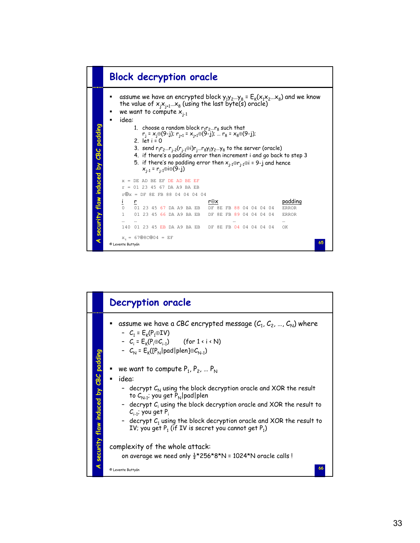

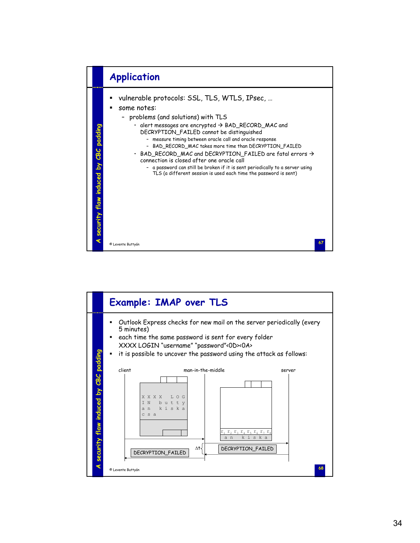

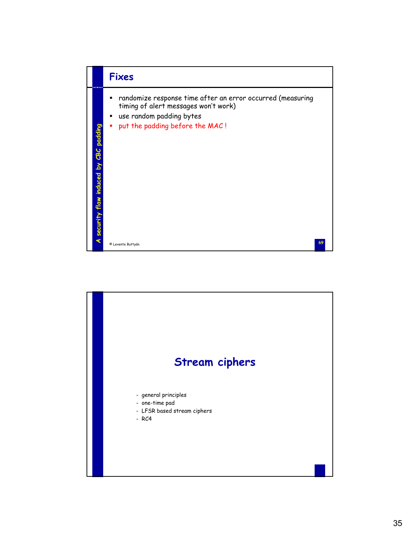

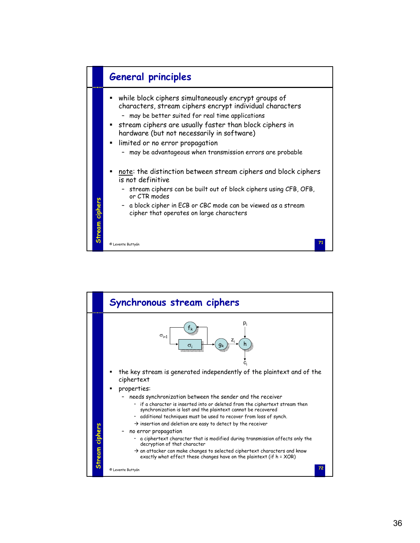

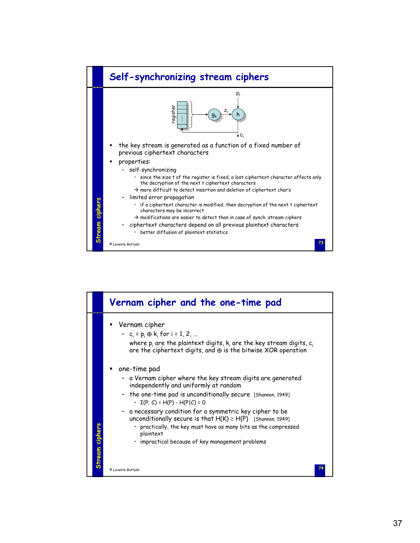

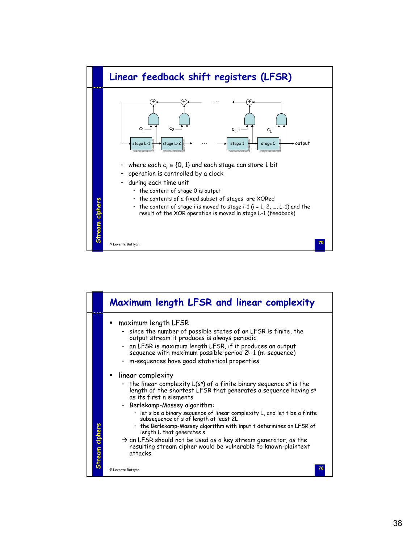

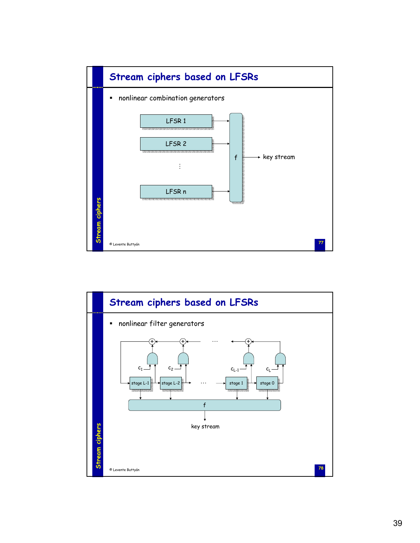